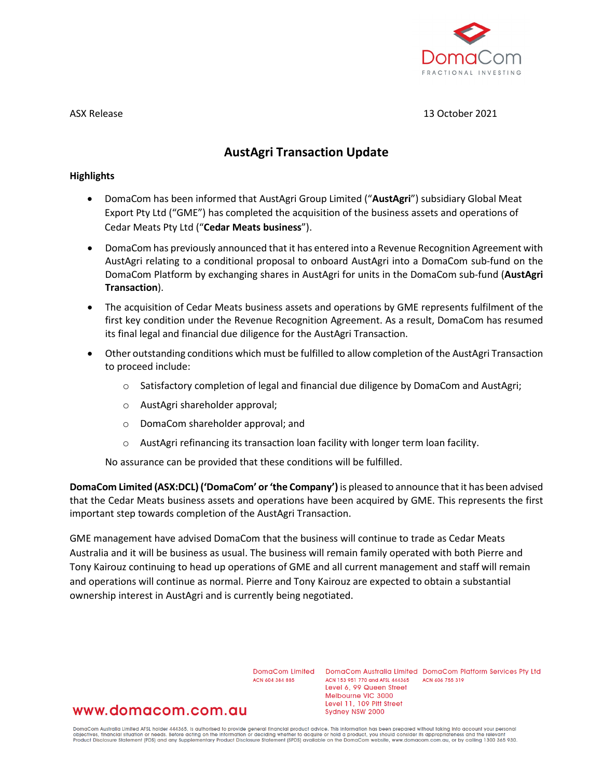

#### ASX Release 13 October 2021

# **AustAgri Transaction Update**

#### **Highlights**

- DomaCom has been informed that AustAgri Group Limited ("**AustAgri**") subsidiary Global Meat Export Pty Ltd ("GME") has completed the acquisition of the business assets and operations of Cedar Meats Pty Ltd ("**Cedar Meats business**").
- DomaCom has previously announced that it has entered into a Revenue Recognition Agreement with AustAgri relating to a conditional proposal to onboard AustAgri into a DomaCom sub-fund on the DomaCom Platform by exchanging shares in AustAgri for units in the DomaCom sub-fund (**AustAgri Transaction**).
- The acquisition of Cedar Meats business assets and operations by GME represents fulfilment of the first key condition under the Revenue Recognition Agreement. As a result, DomaCom has resumed its final legal and financial due diligence for the AustAgri Transaction.
- Other outstanding conditions which must be fulfilled to allow completion of the AustAgri Transaction to proceed include:
	- $\circ$  Satisfactory completion of legal and financial due diligence by DomaCom and AustAgri;
	- o AustAgri shareholder approval;
	- o DomaCom shareholder approval; and
	- o AustAgri refinancing its transaction loan facility with longer term loan facility.

No assurance can be provided that these conditions will be fulfilled.

**DomaCom Limited (ASX:DCL) ('DomaCom' or 'the Company')** is pleased to announce that it has been advised that the Cedar Meats business assets and operations have been acquired by GME. This represents the first important step towards completion of the AustAgri Transaction.

GME management have advised DomaCom that the business will continue to trade as Cedar Meats Australia and it will be business as usual. The business will remain family operated with both Pierre and Tony Kairouz continuing to head up operations of GME and all current management and staff will remain and operations will continue as normal. Pierre and Tony Kairouz are expected to obtain a substantial ownership interest in AustAgri and is currently being negotiated.

ACN 604 384 885

DomaCom Limited DomaCom Australia Limited DomaCom Platform Services Pty Ltd ACN 153 951 770 and AFSL 444365 ACN 606 755 319 Level 6, 99 Queen Street Melbourne VIC 3000 Level 11, 109 Pitt Street Sydney NSW 2000

# www.domacom.com.au

DomaCom Australia Limited AFSL holder 444365, is authorised to provide general financial product advice. This information has been prepared without taking into account your personal<br>objectives, financial situation or needs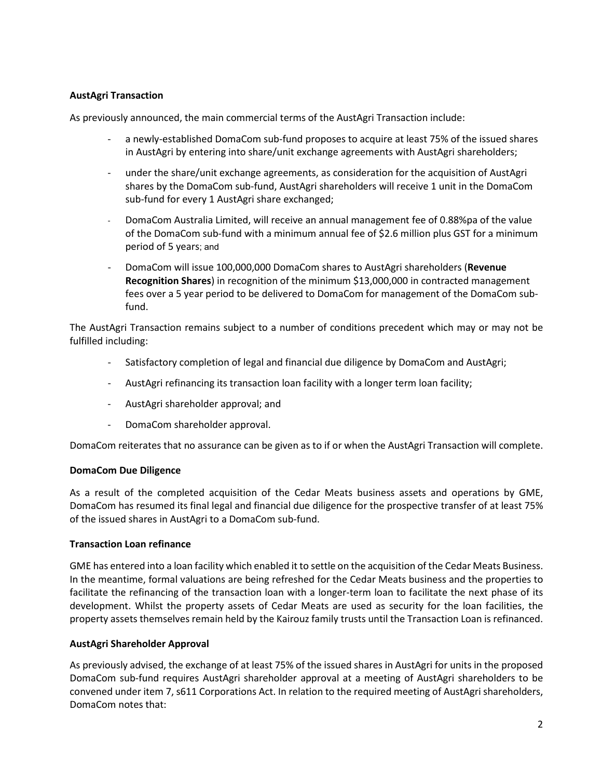## **AustAgri Transaction**

As previously announced, the main commercial terms of the AustAgri Transaction include:

- a newly-established DomaCom sub-fund proposes to acquire at least 75% of the issued shares in AustAgri by entering into share/unit exchange agreements with AustAgri shareholders;
- under the share/unit exchange agreements, as consideration for the acquisition of AustAgri shares by the DomaCom sub-fund, AustAgri shareholders will receive 1 unit in the DomaCom sub-fund for every 1 AustAgri share exchanged;
- DomaCom Australia Limited, will receive an annual management fee of 0.88%pa of the value of the DomaCom sub-fund with a minimum annual fee of \$2.6 million plus GST for a minimum period of 5 years; and
- DomaCom will issue 100,000,000 DomaCom shares to AustAgri shareholders (**Revenue Recognition Shares**) in recognition of the minimum \$13,000,000 in contracted management fees over a 5 year period to be delivered to DomaCom for management of the DomaCom subfund.

The AustAgri Transaction remains subject to a number of conditions precedent which may or may not be fulfilled including:

- Satisfactory completion of legal and financial due diligence by DomaCom and AustAgri;
- AustAgri refinancing its transaction loan facility with a longer term loan facility;
- AustAgri shareholder approval; and
- DomaCom shareholder approval.

DomaCom reiterates that no assurance can be given as to if or when the AustAgri Transaction will complete.

## **DomaCom Due Diligence**

As a result of the completed acquisition of the Cedar Meats business assets and operations by GME, DomaCom has resumed its final legal and financial due diligence for the prospective transfer of at least 75% of the issued shares in AustAgri to a DomaCom sub-fund.

## **Transaction Loan refinance**

GME has entered into a loan facility which enabled it to settle on the acquisition of the Cedar Meats Business. In the meantime, formal valuations are being refreshed for the Cedar Meats business and the properties to facilitate the refinancing of the transaction loan with a longer-term loan to facilitate the next phase of its development. Whilst the property assets of Cedar Meats are used as security for the loan facilities, the property assets themselves remain held by the Kairouz family trusts until the Transaction Loan is refinanced.

## **AustAgri Shareholder Approval**

As previously advised, the exchange of at least 75% of the issued shares in AustAgri for units in the proposed DomaCom sub-fund requires AustAgri shareholder approval at a meeting of AustAgri shareholders to be convened under item 7, s611 Corporations Act. In relation to the required meeting of AustAgri shareholders, DomaCom notes that: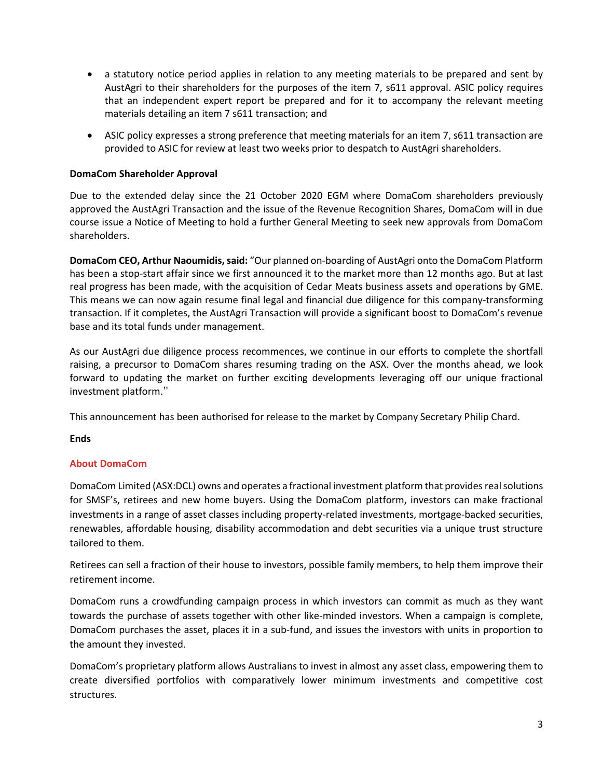- a statutory notice period applies in relation to any meeting materials to be prepared and sent by AustAgri to their shareholders for the purposes of the item 7, s611 approval. ASIC policy requires that an independent expert report be prepared and for it to accompany the relevant meeting materials detailing an item 7 s611 transaction; and
- ASIC policy expresses a strong preference that meeting materials for an item 7, s611 transaction are provided to ASIC for review at least two weeks prior to despatch to AustAgri shareholders.

## **DomaCom Shareholder Approval**

Due to the extended delay since the 21 October 2020 EGM where DomaCom shareholders previously approved the AustAgri Transaction and the issue of the Revenue Recognition Shares, DomaCom will in due course issue a Notice of Meeting to hold a further General Meeting to seek new approvals from DomaCom shareholders.

**DomaCom CEO, Arthur Naoumidis, said:** "Our planned on-boarding of AustAgri onto the DomaCom Platform has been a stop-start affair since we first announced it to the market more than 12 months ago. But at last real progress has been made, with the acquisition of Cedar Meats business assets and operations by GME. This means we can now again resume final legal and financial due diligence for this company-transforming transaction. If it completes, the AustAgri Transaction will provide a significant boost to DomaCom's revenue base and its total funds under management.

As our AustAgri due diligence process recommences, we continue in our efforts to complete the shortfall raising, a precursor to DomaCom shares resuming trading on the ASX. Over the months ahead, we look forward to updating the market on further exciting developments leveraging off our unique fractional investment platform."

This announcement has been authorised for release to the market by Company Secretary Philip Chard.

## **Ends**

# **About DomaCom**

DomaCom Limited (ASX:DCL) owns and operates a fractional investment platform that provides real solutions for SMSF's, retirees and new home buyers. Using the DomaCom platform, investors can make fractional investments in a range of asset classes including property-related investments, mortgage-backed securities, renewables, affordable housing, disability accommodation and debt securities via a unique trust structure tailored to them.

Retirees can sell a fraction of their house to investors, possible family members, to help them improve their retirement income.

DomaCom runs a crowdfunding campaign process in which investors can commit as much as they want towards the purchase of assets together with other like-minded investors. When a campaign is complete, DomaCom purchases the asset, places it in a sub-fund, and issues the investors with units in proportion to the amount they invested.

DomaCom's proprietary platform allows Australians to invest in almost any asset class, empowering them to create diversified portfolios with comparatively lower minimum investments and competitive cost structures.